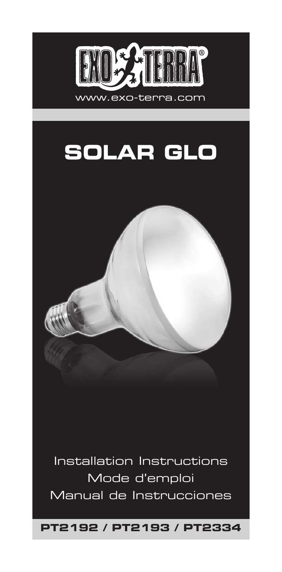



Installation Instructions Mode d'emploi Manual de Instrucciones

**PT2192 / PT2193 / PT2334**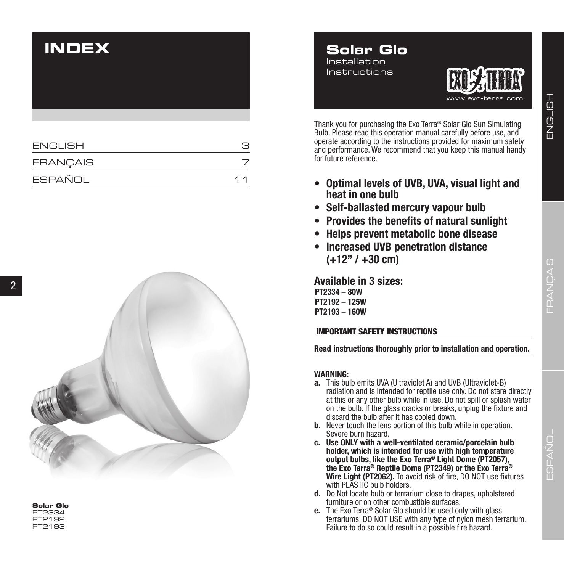# **INDEX**

| <b>ENGLISH</b>  |    |
|-----------------|----|
| <b>FRANÇAIS</b> |    |
| ESPAÑOL         | 11 |



**Solar Glo** PT2334 PT2192 PT2193





Thank you for purchasing the Exo Terra ® Solar Glo Sun Simulating Bulb. Please read this operation manual carefully before use, and operate according to the instructions provided for maximum safety and performance. We recommend that you keep this manual handy for future reference.

- **• Optimal levels of UVB, UVA, visual light and heat in one bulb**
- **• Self-ballasted mercury vapour bulb**
- **• Provides the benefits of natural sunlight**
- **• Helps prevent metabolic bone disease**
- **• Increased UVB penetration distance (+12" / +30 cm)**

**Available in 3 sizes: PT2334 – 80W PT2192 – 125W PT2193 – 160W**

# IMPORTANT SAFETY INSTRUCTIONS

**Read instructions thoroughly prior to installation and operation.**

# **WARNING:**

- **a.** This bulb emits UVA (Ultraviolet A) and UVB (Ultraviolet-B) radiation and is intended for reptile use only. Do not stare directly at this or any other bulb while in use. Do not spill or splash water on the bulb. If the glass cracks or breaks, unplug the fixture and discard the bulb after it has cooled down.
- **b.** Never touch the lens portion of this bulb while in operation. Severe burn hazard.
- **c. Use ONLY with a well-ventilated ceramic/porcelain bulb holder, which is intended for use with high temperature output bulbs, like the Exo Terra ® Light Dome (PT2057), the Exo Terra® Reptile Dome (PT2349) or the Exo Terra® Wire Light (PT2062).** To avoid risk of fire, DO NOT use fixtures with PLASTIC bulb holders.
- **d.** Do Not locate bulb or terrarium close to drapes, upholstered furniture or on other combustible surfaces.
- **e.** The Exo Terra® Solar Glo should be used only with glass terrariums. DO NOT USE with any type of nylon mesh terrarium. Failure to do so could result in a possible fire hazard.

ENGLISH

ENGLISH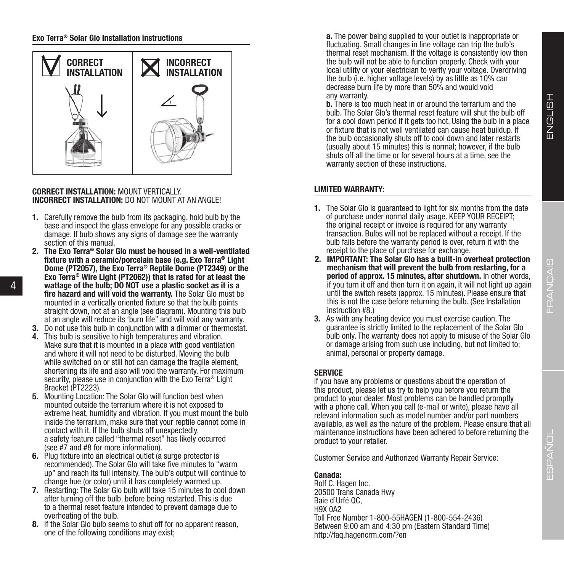

#### **CORRECT INSTALLATION:** MOUNT VERTICALLY. **INCORRECT INSTALLATION:** DO NOT MOUNT AT AN ANGLE!

- **1.** Carefully remove the bulb from its packaging, hold bulb by the base and inspect the glass envelope for any possible cracks or damage. If bulb shows any signs of damage see the warranty section of this manual.
- **2. The Exo Terra® Solar Glo must be housed in a well-ventilated fixture with a ceramic/porcelain base (e.g. Exo Terra® Light Dome (PT2057), the Exo Terra® Reptile Dome (PT2349) or the Exo Terra® Wire Light (PT2062)) that is rated for at least the wattage of the bulb; DO NOT use a plastic socket as it is a fire hazard and will void the warranty.** The Solar Glo must be mounted in a vertically oriented fixture so that the bulb points straight down, not at an angle (see diagram). Mounting this bulb at an angle will reduce its 'burn life" and will void any warranty.

4

- **3.** Do not use this bulb in conjunction with a dimmer or thermostat.
- **4.** This bulb is sensitive to high temperatures and vibration. Make sure that it is mounted in a place with good ventilation and where it will not need to be disturbed. Moving the bulb while switched on or still hot can damage the fragile element, shortening its life and also will void the warranty. For maximum security, please use in conjunction with the Exo Terra<sup>®</sup> Light Bracket (PT2223).
- **5.** Mounting Location: The Solar Glo will function best when mounted outside the terrarium where it is not exposed to extreme heat, humidity and vibration. If you must mount the bulb inside the terrarium, make sure that your reptile cannot come in contact with it. If the bulb shuts off unexpectedly, a safety feature called "thermal reset" has likely occurred (see #7 and #8 for more information).
- **6.** Plug fixture into an electrical outlet (a surge protector is recommended). The Solar Glo will take five minutes to "warm up" and reach its full intensity. The bulb's output will continue to change hue (or color) until it has completely warmed up.
- **7.** Restarting: The Solar Glo bulb will take 15 minutes to cool down after turning off the bulb, before being restarted. This is due to a thermal reset feature intended to prevent damage due to overheating of the bulb.
- **8.** If the Solar Glo bulb seems to shut off for no apparent reason, one of the following conditions may exist;

**a.** The power being supplied to your outlet is inappropriate or fluctuating. Small changes in line voltage can trip the bulb's thermal reset mechanism. If the voltage is consistently low then the bulb will not be able to function properly. Check with your local utility or your electrician to verify your voltage. Overdriving the bulb (i.e. higher voltage levels) by as little as 10% can decrease burn life by more than 50% and would void any warranty.

**b.** There is too much heat in or around the terrarium and the bulb. The Solar Glo's thermal reset feature will shut the bulb off for a cool down period if it gets too hot. Using the bulb in a place or fixture that is not well ventilated can cause heat buildup. If the bulb occasionally shuts off to cool down and later restarts (usually about 15 minutes) this is normal; however, if the bulb shuts off all the time or for several hours at a time, see the warranty section of these instructions.

# **LIMITED WARRANTY:**

- **1.** The Solar Glo is guaranteed to light for six months from the date of purchase under normal daily usage. KEEP YOUR RECEIPT; the original receipt or invoice is required for any warranty transaction. Bulbs will not be replaced without a receipt. If the bulb fails before the warranty period is over, return it with the receipt to the place of purchase for exchange.
- **2. IMPORTANT: The Solar Glo has a built-in overheat protection mechanism that will prevent the bulb from restarting, for a period of approx. 15 minutes, after shutdown.** In other words, if you turn it off and then turn it on again, it will not light up again until the switch resets (approx. 15 minutes). Please ensure that this is not the case before returning the bulb. (See Installation instruction #8.)
- **3.** As with any heating device you must exercise caution. The guarantee is strictly limited to the replacement of the Solar Glo bulb only. The warranty does not apply to misuse of the Solar Glo or damage arising from such use including, but not limited to; animal, personal or property damage.

# **SERVICE**

If you have any problems or questions about the operation of this product, please let us try to help you before you return the product to your dealer. Most problems can be handled promptly with a phone call. When you call (e-mail or write), please have all relevant information such as model number and/or part numbers available, as well as the nature of the problem. Please ensure that all maintenance instructions have been adhered to before returning the product to your retailer.

Customer Service and Authorized Warranty Repair Service:

# **Canada:**

Rolf C. Hagen Inc. 20500 Trans Canada Hwy Baie d'Urfé QC, H9X 0A2 Toll Free Number 1-800-55HAGEN (1-800-554-2436) Between 9:00 am and 4:30 pm (Eastern Standard Time) http://faq.hagencrm.com/?en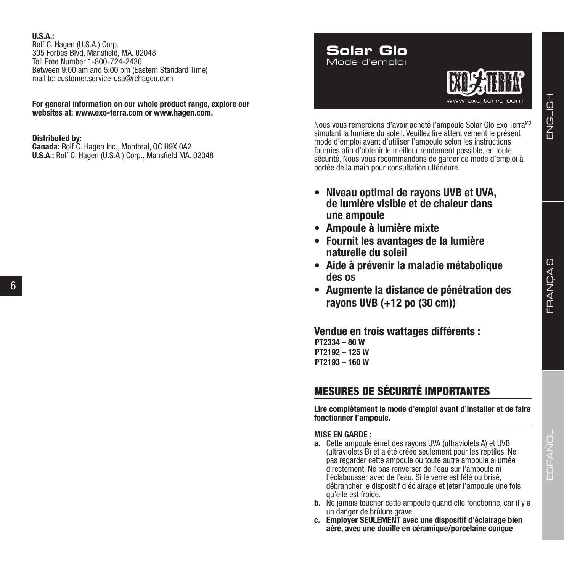## **U.S.A.:**

Rolf C. Hagen (U.S.A.) Corp. 305 Forbes Blvd, Mansfield, MA. 02048 Toll Free Number 1-800-724-2436 Between 9:00 am and 5:00 pm (Eastern Standard Time) mail to: customer.service-usa@rchagen.com

**For general information on our whole product range, explore our websites at: www.exo-terra.com or www.hagen.com.**

#### **Distributed by:**

6

**Canada:** Rolf C. Hagen Inc., Montreal, QC H9X 0A2 **U.S.A.:** Rolf C. Hagen (U.S.A.) Corp., Mansfield MA. 02048 **Solar Glo** Mode d'emploi



Nous vous remercions d'avoir acheté l'ampoule Solar Glo Exo Terra<sup>MD</sup> simulant la lumière du soleil. Veuillez lire attentivement le présent mode d'emploi avant d'utiliser l'ampoule selon les instructions fournies afin d'obtenir le meilleur rendement possible, en toute sécurité. Nous vous recommandons de garder ce mode d'emploi à portée de la main pour consultation ultérieure.

- **• Niveau optimal de rayons UVB et UVA, de lumière visible et de chaleur dans une ampoule**
- **• Ampoule à lumière mixte**
- **• Fournit les avantages de la lumière naturelle du soleil**
- **• Aide à prévenir la maladie métabolique des os**
- **• Augmente la distance de pénétration des rayons UVB (+12 po (30 cm))**

**Vendue en trois wattages différents : PT2334 – 80 W PT2192 – 125 W PT2193 – 160 W**

# MESURES DE SÉCURITÉ IMPORTANTES

**Lire complètement le mode d'emploi avant d'installer et de faire fonctionner l'ampoule.**

### **MISE EN GARDE :**

- **a.** Cette ampoule émet des rayons UVA (ultraviolets A) et UVB (ultraviolets B) et a été créée seulement pour les reptiles. Ne pas regarder cette ampoule ou toute autre ampoule allumée directement. Ne pas renverser de l'eau sur l'ampoule ni l'éclabousser avec de l'eau. Si le verre est fêlé ou brisé, débrancher le dispositif d'éclairage et jeter l'ampoule une fois qu'elle est froide.
- **b.** Ne jamais toucher cette ampoule quand elle fonctionne, car il y a un danger de brûlure grave.
- **c. Employer SEULEMENT avec une dispositif d'éclairage bien aéré, avec une douille en céramique/porcelaine conçue**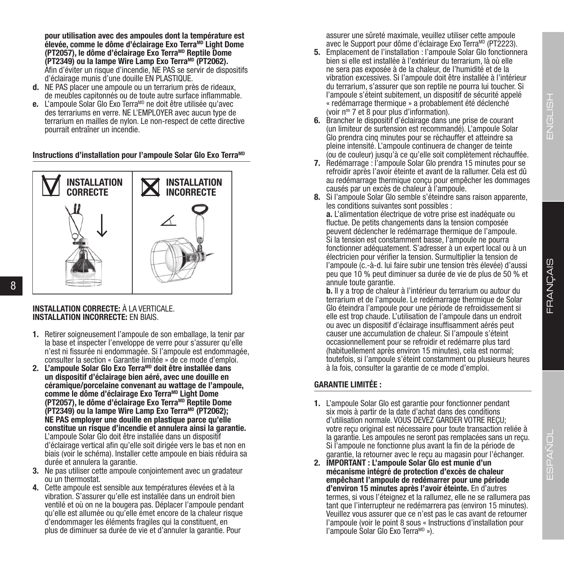ENGLISH

**pour utilisation avec des ampoules dont la température est élevée, comme le dôme d'éclairage Exo TerraMD Light Dome (PT2057), le dôme d'éclairage Exo TerraMD Reptile Dome (PT2349) ou la lampe Wire Lamp Exo TerraMD (PT2062).** Afin d'éviter un risque d'incendie, NE PAS se servir de dispositifs d'éclairage munis d'une douille EN PLASTIQUE.

- **d.** NE PAS placer une ampoule ou un terrarium près de rideaux, de meubles capitonnés ou de toute autre surface inflammable.
- **e.** L'ampoule Solar Glo Exo Terra<sup>MD</sup> ne doit être utilisée qu'avec des terrariums en verre. NE L'EMPLOYER avec aucun type de terrarium en mailles de nylon. Le non-respect de cette directive pourrait entraîner un incendie.

**Instructions d'installation pour l'ampoule Solar Glo Exo Terra<sup>MD</sup>** 



# **INSTALLATION CORRECTE:** À LA VERTICALE. **INSTALLATION INCORRECTE:** EN BIAIS.

- **1.** Retirer soigneusement l'ampoule de son emballage, la tenir par la base et inspecter l'enveloppe de verre pour s'assurer qu'elle n'est ni fissurée ni endommagée. Si l'ampoule est endommagée, consulter la section « Garantie limitée » de ce mode d'emploi.
- **2. L'ampoule Solar Glo Exo TerraMD doit être installée dans un dispositif d'éclairage bien aéré, avec une douille en céramique/porcelaine convenant au wattage de l'ampoule,**  comme le dôme d'éclairage Exo Terra<sup>MD</sup> Light Dome **(PT2057), le dôme d'éclairage Exo TerraMD Reptile Dome (PT2349) ou la lampe Wire Lamp Exo TerraMD (PT2062); NE PAS employer une douille en plastique parce qu'elle constitue un risque d'incendie et annulera ainsi la garantie.** L'ampoule Solar Glo doit être installée dans un dispositif d'éclairage vertical afin qu'elle soit dirigée vers le bas et non en biais (voir le schéma). Installer cette ampoule en biais réduira sa durée et annulera la garantie.
- **3.** Ne pas utiliser cette ampoule conjointement avec un gradateur ou un thermostat.
- **4.** Cette ampoule est sensible aux températures élevées et à la vibration. S'assurer qu'elle est installée dans un endroit bien ventilé et où on ne la bougera pas. Déplacer l'ampoule pendant qu'elle est allumée ou qu'elle émet encore de la chaleur risque d'endommager les éléments fragiles qui la constituent, en plus de diminuer sa durée de vie et d'annuler la garantie. Pour

assurer une sûreté maximale, veuillez utiliser cette ampoule avec le Support pour dôme d'éclairage Exo TerraMD (PT2223).

- **5.** Emplacement de l'installation : l'ampoule Solar Glo fonctionnera bien si elle est installée à l'extérieur du terrarium, là où elle ne sera pas exposée à de la chaleur, de l'humidité et de la vibration excessives. Si l'ampoule doit être installée à l'intérieur du terrarium, s'assurer que son reptile ne pourra lui toucher. Si l'ampoule s'éteint subitement, un dispositif de sécurité appelé « redémarrage thermique » a probablement été déclenché (voir nos 7 et 8 pour plus d'information).
- **6.** Brancher le dispositif d'éclairage dans une prise de courant (un limiteur de surtension est recommandé). L'ampoule Solar Glo prendra cinq minutes pour se réchauffer et atteindre sa pleine intensité. L'ampoule continuera de changer de teinte (ou de couleur) jusqu'à ce qu'elle soit complètement réchauffée.
- **7.** Redémarrage : l'ampoule Solar Glo prendra 15 minutes pour se refroidir après l'avoir éteinte et avant de la rallumer. Cela est dû au redémarrage thermique conçu pour empêcher les dommages causés par un excès de chaleur à l'ampoule.
- **8.** Si l'ampoule Solar Glo semble s'éteindre sans raison apparente, les conditions suivantes sont possibles :

**a.** L'alimentation électrique de votre prise est inadéquate ou fluctue. De petits changements dans la tension composée peuvent déclencher le redémarrage thermique de l'ampoule. Si la tension est constamment basse, l'ampoule ne pourra fonctionner adéquatement. S'adresser à un expert local ou à un électricien pour vérifier la tension. Surmultiplier la tension de l'ampoule (c.-à-d. lui faire subir une tension très élevée) d'aussi peu que 10 % peut diminuer sa durée de vie de plus de 50 % et annule toute garantie.

**b.** Il y a trop de chaleur à l'intérieur du terrarium ou autour du terrarium et de l'ampoule. Le redémarrage thermique de Solar Glo éteindra l'ampoule pour une période de refroidissement si elle est trop chaude. L'utilisation de l'ampoule dans un endroit ou avec un dispositif d'éclairage insuffisamment aérés peut causer une accumulation de chaleur. Si l'ampoule s'éteint occasionnellement pour se refroidir et redémarre plus tard (habituellement après environ 15 minutes), cela est normal; toutefois, si l'ampoule s'éteint constamment ou plusieurs heures à la fois, consulter la garantie de ce mode d'emploi.

# **GARANTIE LIMITÉE :**

- **1.** L'ampoule Solar Glo est garantie pour fonctionner pendant six mois à partir de la date d'achat dans des conditions d'utilisation normale. VOUS DEVEZ GARDER VOTRE REÇU; votre reçu original est nécessaire pour toute transaction reliée à la garantie. Les ampoules ne seront pas remplacées sans un reçu. Si l'ampoule ne fonctionne plus avant la fin de la période de garantie, la retourner avec le reçu au magasin pour l'échanger.
- **2. IMPORTANT : L'ampoule Solar Glo est munie d'un mécanisme intégré de protection d'excès de chaleur empêchant l'ampoule de redémarrer pour une période d'environ 15 minutes après l'avoir éteinte.** En d'autres termes, si vous l'éteignez et la rallumez, elle ne se rallumera pas tant que l'interrupteur ne redémarrera pas (environ 15 minutes). Veuillez vous assurer que ce n'est pas le cas avant de retourner l'ampoule (voir le point 8 sous « Instructions d'installation pour l'ampoule Solar Glo Exo TerraMD »).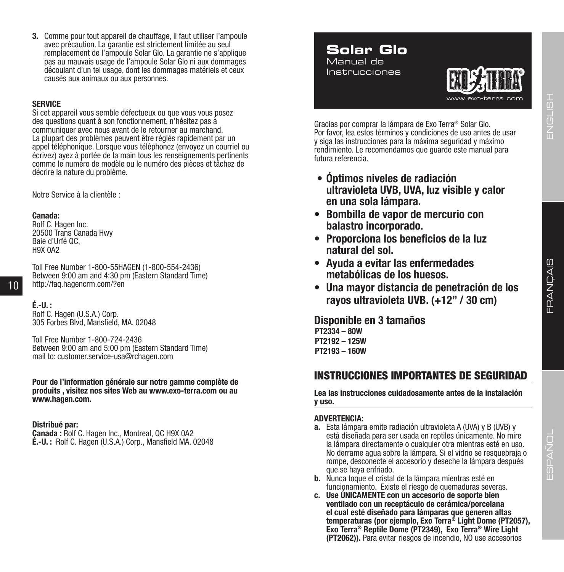**3.** Comme pour tout appareil de chauffage, il faut utiliser l'ampoule avec précaution. La garantie est strictement limitée au seul remplacement de l'ampoule Solar Glo. La garantie ne s'applique pas au mauvais usage de l'ampoule Solar Glo ni aux dommages découlant d'un tel usage, dont les dommages matériels et ceux causés aux animaux ou aux personnes.

#### **SERVICE**

Si cet appareil vous semble défectueux ou que vous vous posez des questions quant à son fonctionnement, n'hésitez pas à communiquer avec nous avant de le retourner au marchand. La plupart des problèmes peuvent être réglés rapidement par un appel téléphonique. Lorsque vous téléphonez (envoyez un courriel ou écrivez) ayez à portée de la main tous les renseignements pertinents comme le numéro de modèle ou le numéro des pièces et tâchez de décrire la nature du problème.

Notre Service à la clientèle :

#### **Canada:**

Rolf C. Hagen Inc. 20500 Trans Canada Hwy Baie d'Urfé OC H9X 042

Toll Free Number 1-800-55HAGEN (1-800-554-2436) Between 9:00 am and 4:30 pm (Eastern Standard Time) http://faq.hagencrm.com/?en

**É.-U. :** Rolf C. Hagen (U.S.A.) Corp. 305 Forbes Blvd, Mansfield, MA. 02048

Toll Free Number 1-800-724-2436 Between 9:00 am and 5:00 pm (Eastern Standard Time) mail to: customer.service-usa@rchagen.com

**Pour de l'information générale sur notre gamme complète de produits , visitez nos sites Web au www.exo-terra.com ou au www.hagen.com.**

#### **Distribué par:**

**Canada :** Rolf C. Hagen Inc., Montreal, QC H9X 0A2 **É.-U. :** Rolf C. Hagen (U.S.A.) Corp., Mansfield MA. 02048

# **Solar Glo** Manual de

Instrucciones



Gracias por comprar la lámpara de Exo Terra® Solar Glo. Por favor, lea estos términos y condiciones de uso antes de usar y siga las instrucciones para la máxima seguridad y máximo rendimiento. Le recomendamos que guarde este manual para futura referencia.

- **• Óptimos niveles de radiación ultravioleta UVB, UVA, luz visible y calor en una sola lámpara.**
- **• Bombilla de vapor de mercurio con balastro incorporado.**
- **• Proporciona los beneficios de la luz natural del sol.**
- **• Ayuda a evitar las enfermedades metabólicas de los huesos.**
- **• Una mayor distancia de penetración de los rayos ultravioleta UVB. (+12" / 30 cm)**

**Disponible en 3 tamaños PT2334 – 80W PT2192 – 125W PT2193 – 160W**

# INSTRUCCIONES IMPORTANTES DE SEGURIDAD

**Lea las instrucciones cuidadosamente antes de la instalación y uso.**

#### **ADVERTENCIA:**

- **a.** Esta lámpara emite radiación ultravioleta A (UVA) y B (UVB) y está diseñada para ser usada en reptiles únicamente. No mire la lámpara directamente o cualquier otra mientras esté en uso. No derrame agua sobre la lámpara. Si el vidrio se resquebraja o rompe, desconecte el accesorio y deseche la lámpara después que se haya enfriado.
- **b.** Nunca toque el cristal de la lámpara mientras esté en funcionamiento. Existe el riesgo de quemaduras severas.
- **c. Use ÚNICAMENTE con un accesorio de soporte bien ventilado con un receptáculo de cerámica/porcelana el cual esté diseñado para lámparas que generen altas temperaturas (por ejemplo, Exo Terra® Light Dome (PT2057), Exo Terra® Reptile Dome (PT2349), Exo Terra® Wire Light (PT2062)).** Para evitar riesgos de incendio, NO use accesorios

ENGLISH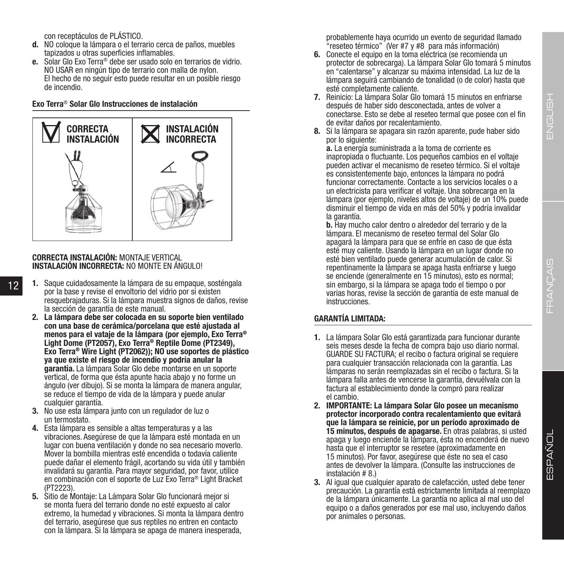ENGLISH ENGLISH

ESPAÑOL

ESPAÑOL

con receptáculos de PLÁSTICO.

- **d.** NO coloque la lámpara o el terrario cerca de paños, muebles tapizados u otras superficies inflamables.
- **e.** Solar Glo Exo Terra® debe ser usado solo en terrarios de vidrio. NO USAR en ningún tipo de terrario con malla de nylon. El hecho de no seguir esto puede resultar en un posible riesgo de incendio.

#### **Exo Terra**® **Solar Glo Instrucciones de instalación**



#### **CORRECTA INSTALACIÓN:** MONTAJE VERTICAL **INSTALACIÓN INCORRECTA:** NO MONTE EN ÁNGULO!

12

- **1.** Saque cuidadosamente la lámpara de su empaque, sosténgala por la base y revise el envoltorio del vidrio por si existen resquebrajaduras. Si la lámpara muestra signos de daños, revise la sección de garantía de este manual.
	- **2. La lámpara debe ser colocada en su soporte bien ventilado con una base de cerámica/porcelana que esté ajustada al menos para el vataje de la lámpara (por ejemplo, Exo Terra® Light Dome (PT2057), Exo Terra® Reptile Dome (PT2349), Exo Terra® Wire Light (PT2062)); NO use soportes de plástico ya que existe el riesgo de incendio y podría anular la garantía.** La lámpara Solar Glo debe montarse en un soporte vertical, de forma que ésta apunte hacia abajo y no forme un ángulo (ver dibujo). Si se monta la lámpara de manera angular, se reduce el tiempo de vida de la lámpara y puede anular cualquier garantía.
	- **3.** No use esta lámpara junto con un regulador de luz o un termostato.
	- **4.** Esta lámpara es sensible a altas temperaturas y a las vibraciones. Asegúrese de que la lámpara esté montada en un lugar con buena ventilación y donde no sea necesario moverlo. Mover la bombilla mientras esté encendida o todavía caliente puede dañar el elemento frágil, acortando su vida útil y también invalidará su garantía. Para mayor seguridad, por favor, utilice en combinación con el soporte de Luz Exo Terra® Light Bracket (PT2223).
	- **5.** Sitio de Montaje: La Lámpara Solar Glo funcionará mejor si se monta fuera del terrario donde no esté expuesto al calor extremo, la humedad y vibraciones. Si monta la lámpara dentro del terrario, asegúrese que sus reptiles no entren en contacto con la lámpara. Si la lámpara se apaga de manera inesperada,

probablemente haya ocurrido un evento de seguridad llamado "reseteo térmico" (Ver #7 y #8 para más información)

- **6.** Conecte el equipo en la toma eléctrica (se recomienda un protector de sobrecarga). La lámpara Solar Glo tomará 5 minutos en "calentarse" y alcanzar su máxima intensidad. La luz de la lámpara seguirá cambiando de tonalidad (o de color) hasta que esté completamente caliente.
- **7.** Reinicio: La lámpara Solar Glo tomará 15 minutos en enfriarse después de haber sido desconectada, antes de volver a conectarse. Esto se debe al reseteo termal que posee con el fin de evitar daños por recalentamiento.
- **8.** Si la lámpara se apagara sin razón aparente, pude haber sido por lo siguiente:

**a.** La energía suministrada a la toma de corriente es inapropiada o fluctuante. Los pequeños cambios en el voltaje pueden activar el mecanismo de reseteo térmico. Si el voltaje es consistentemente bajo, entonces la lámpara no podrá funcionar correctamente. Contacte a los servicios locales o a un electricista para verificar el voltaje. Una sobrecarga en la lámpara (por ejemplo, niveles altos de voltaje) de un 10% puede disminuir el tiempo de vida en más del 50% y podría invalidar la garantía.

**b.** Hay mucho calor dentro o alrededor del terrario y de la lámpara. El mecanismo de reseteo termal del Solar Glo apagará la lámpara para que se enfríe en caso de que ésta esté muy caliente. Usando la lámpara en un lugar donde no esté bien ventilado puede generar acumulación de calor. Si repentinamente la lámpara se apaga hasta enfriarse y luego se enciende (generalmente en 15 minutos), esto es normal; sin embargo, si la lámpara se apaga todo el tiempo o por varias horas, revise la sección de garantía de este manual de instrucciones.

# **GARANTÍA LIMITADA:**

- **1.** La lámpara Solar Glo está garantizada para funcionar durante seis meses desde la fecha de compra bajo uso diario normal. GUARDE SU FACTURA; el recibo o factura original se requiere para cualquier transacción relacionada con la garantía. Las lámparas no serán reemplazadas sin el recibo o factura. Si la lámpara falla antes de vencerse la garantía, devuélvala con la factura al establecimiento donde la compró para realizar el cambio.
- **2. IMPORTANTE: La lámpara Solar Glo posee un mecanismo protector incorporado contra recalentamiento que evitará que la lámpara se reinicie, por un período aproximado de 15 minutos, después de apagarse.** En otras palabras, si usted apaga y luego enciende la lámpara, ésta no encenderá de nuevo hasta que el interruptor se resetee (aproximadamente en 15 minutos). Por favor, asegúrese que éste no sea el caso antes de devolver la lámpara. (Consulte las instrucciones de instalación # 8.)
- **3.** Al igual que cualquier aparato de calefacción, usted debe tener precaución. La garantía está estrictamente limitada al reemplazo de la lámpara únicamente. La garantía no aplica al mal uso del equipo o a daños generados por ese mal uso, incluyendo daños por animales o personas.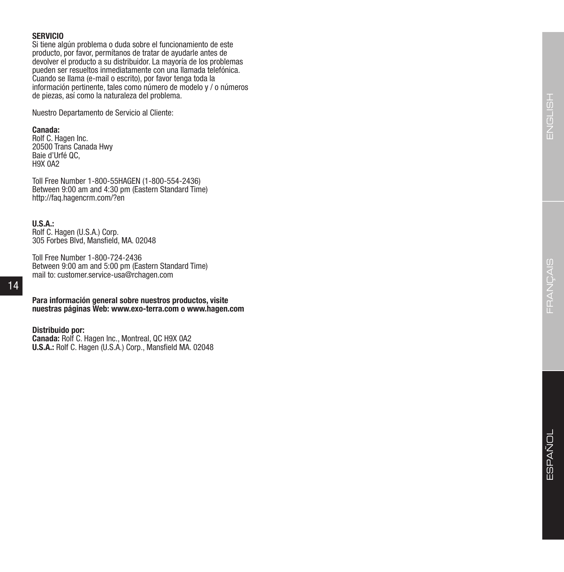## **SERVICIO**

Si tiene algún problema o duda sobre el funcionamiento de este producto, por favor, permítanos de tratar de ayudarle antes de devolver el producto a su distribuidor. La mayoría de los problemas pueden ser resueltos inmediatamente con una llamada telefónica. Cuando se llama (e-mail o escrito), por favor tenga toda la información pertinente, tales como número de modelo y / o números de piezas, así como la naturaleza del problema.

Nuestro Departamento de Servicio al Cliente:

## **Canada:**

Rolf C. Hagen Inc. 20500 Trans Canada Hwy Baie d'Urfé QC, H9X 0A2

Toll Free Number 1-800-55HAGEN (1-800-554-2436) Between 9:00 am and 4:30 pm (Eastern Standard Time) http://faq.hagencrm.com/?en

#### **U.S.A.:**

Rolf C. Hagen (U.S.A.) Corp. 305 Forbes Blvd, Mansfield, MA. 02048

Toll Free Number 1-800-724-2436 Between 9:00 am and 5:00 pm (Eastern Standard Time) mail to: customer.service-usa@rchagen.com

**Para información general sobre nuestros productos, visite nuestras páginas Web: www.exo-terra.com o www.hagen.com**

#### **Distribuido por:**

**Canada:** Rolf C. Hagen Inc., Montreal, QC H9X 0A2 **U.S.A.:** Rolf C. Hagen (U.S.A.) Corp., Mansfield MA. 02048